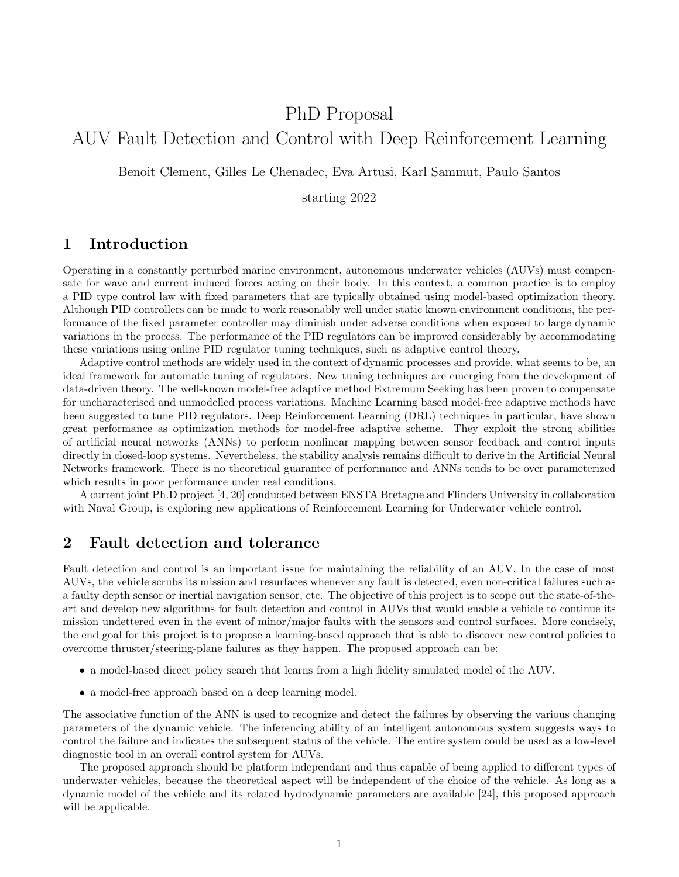# PhD Proposal AUV Fault Detection and Control with Deep Reinforcement Learning

Benoit Clement, Gilles Le Chenadec, Eva Artusi, Karl Sammut, Paulo Santos

starting 2022

### 1 Introduction

Operating in a constantly perturbed marine environment, autonomous underwater vehicles (AUVs) must compensate for wave and current induced forces acting on their body. In this context, a common practice is to employ a PID type control law with fixed parameters that are typically obtained using model-based optimization theory. Although PID controllers can be made to work reasonably well under static known environment conditions, the performance of the fixed parameter controller may diminish under adverse conditions when exposed to large dynamic variations in the process. The performance of the PID regulators can be improved considerably by accommodating these variations using online PID regulator tuning techniques, such as adaptive control theory.

Adaptive control methods are widely used in the context of dynamic processes and provide, what seems to be, an ideal framework for automatic tuning of regulators. New tuning techniques are emerging from the development of data-driven theory. The well-known model-free adaptive method Extremum Seeking has been proven to compensate for uncharacterised and unmodelled process variations. Machine Learning based model-free adaptive methods have been suggested to tune PID regulators. Deep Reinforcement Learning (DRL) techniques in particular, have shown great performance as optimization methods for model-free adaptive scheme. They exploit the strong abilities of artificial neural networks (ANNs) to perform nonlinear mapping between sensor feedback and control inputs directly in closed-loop systems. Nevertheless, the stability analysis remains difficult to derive in the Artificial Neural Networks framework. There is no theoretical guarantee of performance and ANNs tends to be over parameterized which results in poor performance under real conditions.

A current joint Ph.D project [4, 20] conducted between ENSTA Bretagne and Flinders University in collaboration with Naval Group, is exploring new applications of Reinforcement Learning for Underwater vehicle control.

#### 2 Fault detection and tolerance

Fault detection and control is an important issue for maintaining the reliability of an AUV. In the case of most AUVs, the vehicle scrubs its mission and resurfaces whenever any fault is detected, even non-critical failures such as a faulty depth sensor or inertial navigation sensor, etc. The objective of this project is to scope out the state-of-theart and develop new algorithms for fault detection and control in AUVs that would enable a vehicle to continue its mission undettered even in the event of minor/major faults with the sensors and control surfaces. More concisely, the end goal for this project is to propose a learning-based approach that is able to discover new control policies to overcome thruster/steering-plane failures as they happen. The proposed approach can be:

- a model-based direct policy search that learns from a high fidelity simulated model of the AUV.
- a model-free approach based on a deep learning model.

The associative function of the ANN is used to recognize and detect the failures by observing the various changing parameters of the dynamic vehicle. The inferencing ability of an intelligent autonomous system suggests ways to control the failure and indicates the subsequent status of the vehicle. The entire system could be used as a low-level diagnostic tool in an overall control system for AUVs.

The proposed approach should be platform independant and thus capable of being applied to different types of underwater vehicles, because the theoretical aspect will be independent of the choice of the vehicle. As long as a dynamic model of the vehicle and its related hydrodynamic parameters are available [24], this proposed approach will be applicable.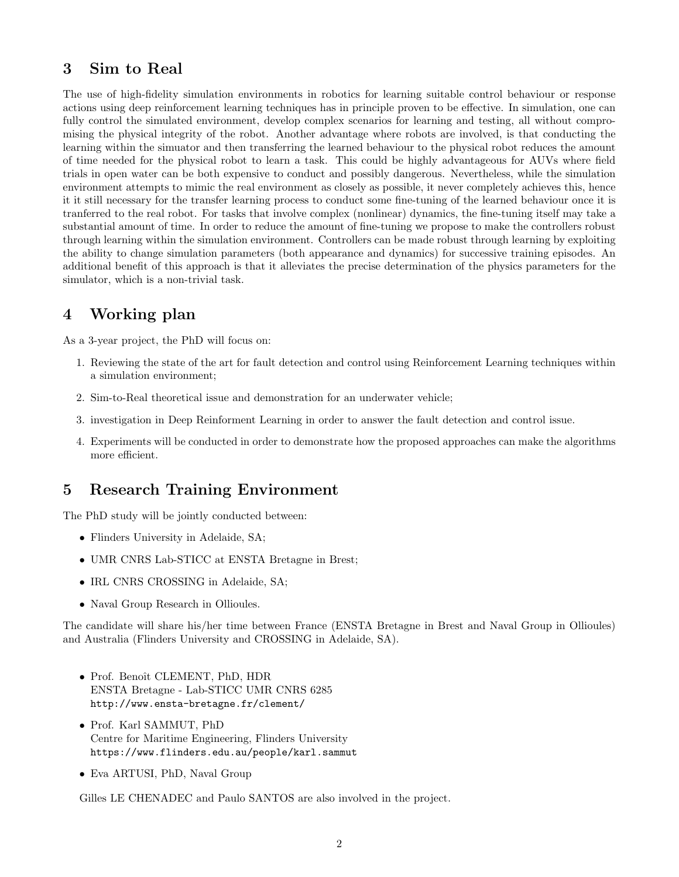# 3 Sim to Real

The use of high-fidelity simulation environments in robotics for learning suitable control behaviour or response actions using deep reinforcement learning techniques has in principle proven to be effective. In simulation, one can fully control the simulated environment, develop complex scenarios for learning and testing, all without compromising the physical integrity of the robot. Another advantage where robots are involved, is that conducting the learning within the simuator and then transferring the learned behaviour to the physical robot reduces the amount of time needed for the physical robot to learn a task. This could be highly advantageous for AUVs where field trials in open water can be both expensive to conduct and possibly dangerous. Nevertheless, while the simulation environment attempts to mimic the real environment as closely as possible, it never completely achieves this, hence it it still necessary for the transfer learning process to conduct some fine-tuning of the learned behaviour once it is tranferred to the real robot. For tasks that involve complex (nonlinear) dynamics, the fine-tuning itself may take a substantial amount of time. In order to reduce the amount of fine-tuning we propose to make the controllers robust through learning within the simulation environment. Controllers can be made robust through learning by exploiting the ability to change simulation parameters (both appearance and dynamics) for successive training episodes. An additional benefit of this approach is that it alleviates the precise determination of the physics parameters for the simulator, which is a non-trivial task.

## 4 Working plan

As a 3-year project, the PhD will focus on:

- 1. Reviewing the state of the art for fault detection and control using Reinforcement Learning techniques within a simulation environment;
- 2. Sim-to-Real theoretical issue and demonstration for an underwater vehicle;
- 3. investigation in Deep Reinforment Learning in order to answer the fault detection and control issue.
- 4. Experiments will be conducted in order to demonstrate how the proposed approaches can make the algorithms more efficient.

### 5 Research Training Environment

The PhD study will be jointly conducted between:

- Flinders University in Adelaide, SA;
- UMR CNRS Lab-STICC at ENSTA Bretagne in Brest;
- IRL CNRS CROSSING in Adelaide, SA;
- Naval Group Research in Ollioules.

The candidate will share his/her time between France (ENSTA Bretagne in Brest and Naval Group in Ollioules) and Australia (Flinders University and CROSSING in Adelaide, SA).

- Prof. Benoît CLEMENT, PhD, HDR ENSTA Bretagne - Lab-STICC UMR CNRS 6285 http://www.ensta-bretagne.fr/clement/
- Prof. Karl SAMMUT, PhD Centre for Maritime Engineering, Flinders University https://www.flinders.edu.au/people/karl.sammut
- Eva ARTUSI, PhD, Naval Group

Gilles LE CHENADEC and Paulo SANTOS are also involved in the project.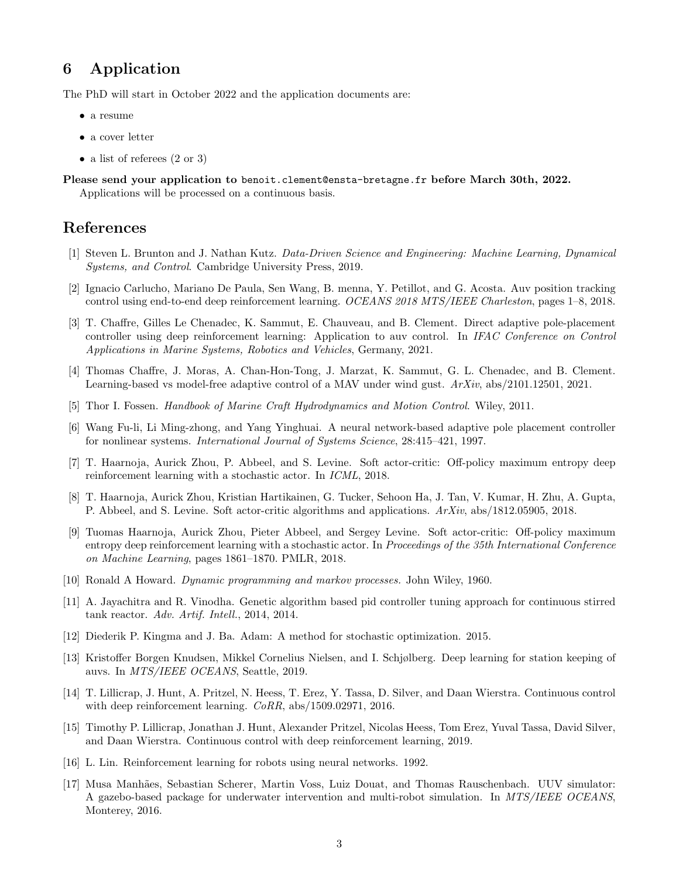## 6 Application

The PhD will start in October 2022 and the application documents are:

- a resume
- a cover letter
- a list of referees  $(2 \text{ or } 3)$

Please send your application to benoit.clement@ensta-bretagne.fr before March 30th, 2022. Applications will be processed on a continuous basis.

#### References

- [1] Steven L. Brunton and J. Nathan Kutz. Data-Driven Science and Engineering: Machine Learning, Dynamical Systems, and Control. Cambridge University Press, 2019.
- [2] Ignacio Carlucho, Mariano De Paula, Sen Wang, B. menna, Y. Petillot, and G. Acosta. Auv position tracking control using end-to-end deep reinforcement learning. OCEANS 2018 MTS/IEEE Charleston, pages 1–8, 2018.
- [3] T. Chaffre, Gilles Le Chenadec, K. Sammut, E. Chauveau, and B. Clement. Direct adaptive pole-placement controller using deep reinforcement learning: Application to auv control. In IFAC Conference on Control Applications in Marine Systems, Robotics and Vehicles, Germany, 2021.
- [4] Thomas Chaffre, J. Moras, A. Chan-Hon-Tong, J. Marzat, K. Sammut, G. L. Chenadec, and B. Clement. Learning-based vs model-free adaptive control of a MAV under wind gust. ArXiv, abs/2101.12501, 2021.
- [5] Thor I. Fossen. Handbook of Marine Craft Hydrodynamics and Motion Control. Wiley, 2011.
- [6] Wang Fu-li, Li Ming-zhong, and Yang Yinghuai. A neural network-based adaptive pole placement controller for nonlinear systems. International Journal of Systems Science, 28:415–421, 1997.
- [7] T. Haarnoja, Aurick Zhou, P. Abbeel, and S. Levine. Soft actor-critic: Off-policy maximum entropy deep reinforcement learning with a stochastic actor. In ICML, 2018.
- [8] T. Haarnoja, Aurick Zhou, Kristian Hartikainen, G. Tucker, Sehoon Ha, J. Tan, V. Kumar, H. Zhu, A. Gupta, P. Abbeel, and S. Levine. Soft actor-critic algorithms and applications. ArXiv, abs/1812.05905, 2018.
- [9] Tuomas Haarnoja, Aurick Zhou, Pieter Abbeel, and Sergey Levine. Soft actor-critic: Off-policy maximum entropy deep reinforcement learning with a stochastic actor. In Proceedings of the 35th International Conference on Machine Learning, pages 1861–1870. PMLR, 2018.
- [10] Ronald A Howard. Dynamic programming and markov processes. John Wiley, 1960.
- [11] A. Jayachitra and R. Vinodha. Genetic algorithm based pid controller tuning approach for continuous stirred tank reactor. Adv. Artif. Intell., 2014, 2014.
- [12] Diederik P. Kingma and J. Ba. Adam: A method for stochastic optimization. 2015.
- [13] Kristoffer Borgen Knudsen, Mikkel Cornelius Nielsen, and I. Schjølberg. Deep learning for station keeping of auvs. In MTS/IEEE OCEANS, Seattle, 2019.
- [14] T. Lillicrap, J. Hunt, A. Pritzel, N. Heess, T. Erez, Y. Tassa, D. Silver, and Daan Wierstra. Continuous control with deep reinforcement learning.  $CoRR$ , abs/1509.02971, 2016.
- [15] Timothy P. Lillicrap, Jonathan J. Hunt, Alexander Pritzel, Nicolas Heess, Tom Erez, Yuval Tassa, David Silver, and Daan Wierstra. Continuous control with deep reinforcement learning, 2019.
- [16] L. Lin. Reinforcement learning for robots using neural networks. 1992.
- [17] Musa Manh˜aes, Sebastian Scherer, Martin Voss, Luiz Douat, and Thomas Rauschenbach. UUV simulator: A gazebo-based package for underwater intervention and multi-robot simulation. In MTS/IEEE OCEANS, Monterey, 2016.